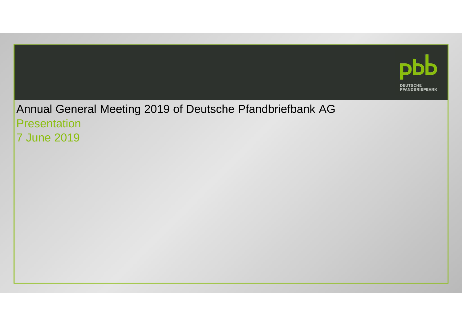

# Annual General Meeting 2019 of Deutsche Pfandbriefbank AG**Presentation** 7 June 2019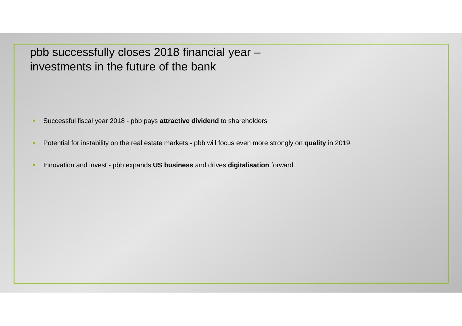pbb successfully closes 2018 financial year –investments in the future of the bank

- $\alpha$ Successful fiscal year 2018 - pbb pays **attractive dividend** to shareholders
- $\blacksquare$ Potential for instability on the real estate markets - pbb will focus even more strongly on **quality** in 2019
- $\blacksquare$ **Innovation and invest - pbb expands US business and drives digitalisation forward**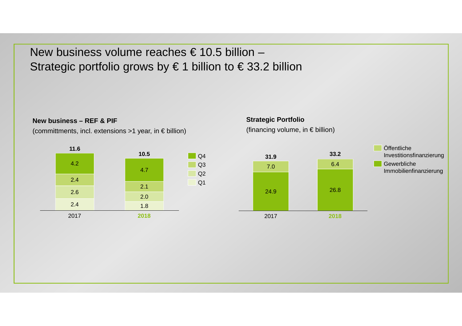New business volume reaches  $\epsilon$  10.5 billion – Strategic portfolio grows by  $\in$  1 billion to  $\in$  33.2 bllion

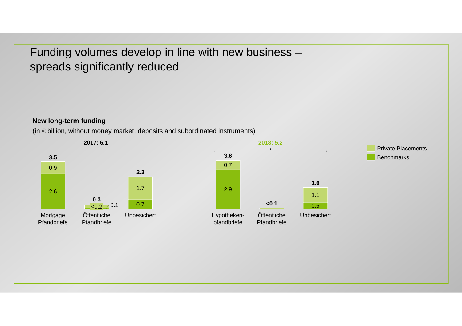Funding volumes develop in line with new business –spreads significantly reduced

### **New long-term funding**

(in € billion, without money market, deposits and subordinated instruments)

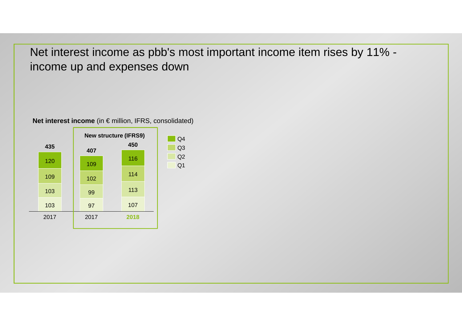Net interest income as pbb's most important income item rises by 11% income up and expenses down

# **Net interest income** (in € million, IFRS, consolidated)

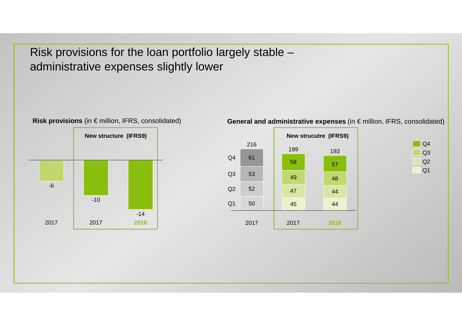Risk provisions for the loan portfolio largely stable –administrative expenses slightly lower



**General and administrative expenses** (in € million, IFRS, consolidated)



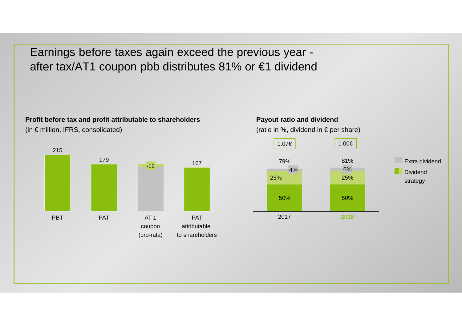Earnings before taxes again exceed the previous year after tax/AT1 coupon pbb distributes 81% or €1 dividend

#### **Profit before tax and profit attributable to shareholders**

(in  $\epsilon$  million, IFRS, consolidated)



#### **Payout ratio and dividend**

(ratio in %, dividend in  $\bm{\epsilon}$  per share)

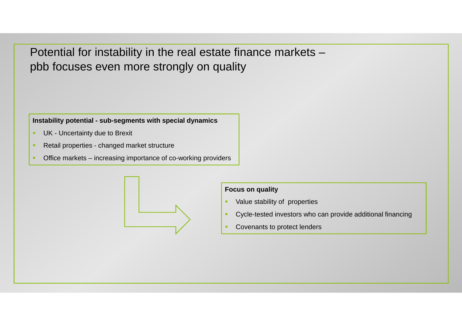Potential for instability in the real estate finance markets –pbb focuses even more strongly on quality

### **Instability potential - sub-segments with special dynamics**

- $\blacksquare$ UK - Uncertainty due to Brexit
- × Retail properties - changed market structure
- × **• Office markets – increasing importance of co-working providers**



## **Focus on quality**

- ٠ Value stability of properties
- ٠ Cycle-tested investors who can provide additional financing
- ٠ Covenants to protect lenders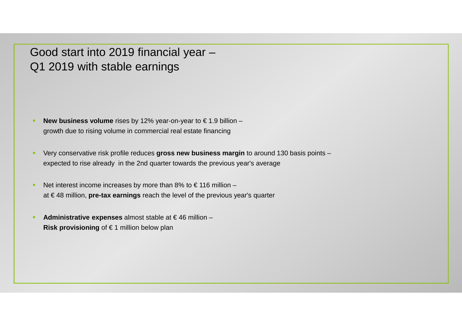Good start into 2019 financial year –Q1 2019 with stable earnings

- **New business volume** rises by 12% year-on-year to € 1.9 billion –growth due to rising volume in commercial real estate financing
- Very conservative risk profile reduces **gross new business margin** to around 130 basis points –expected to rise already in the 2nd quarter towards the previous year's average
- $\blacksquare$ Net interest income increases by more than 8% to  $\epsilon$  116 million – at € 48 million, **pre-tax earnings** reach the level of the previous year's quarter
- ٠ **Administrative expenses** almost stable at € 46 million –**Risk provisioning** of € 1 million below plan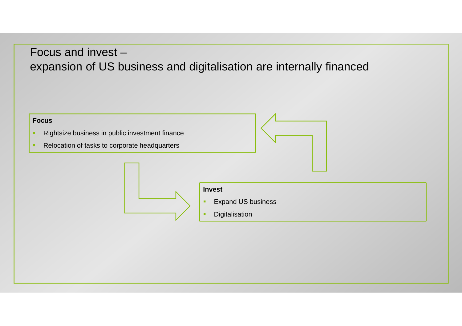# Focus and invest –expansion of US business and digitalisation are internally financed